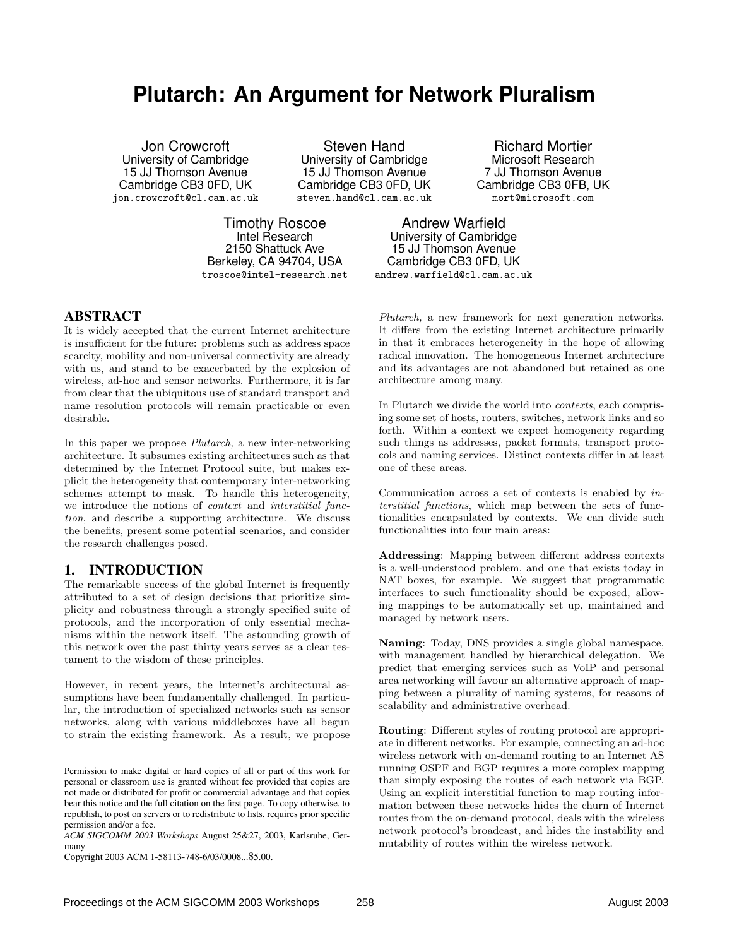# **Plutarch: An Argument for Network Pluralism**

Jon Crowcroft University of Cambridge 15 JJ Thomson Avenue Cambridge CB3 0FD, UK jon.crowcroft@cl.cam.ac.uk

Steven Hand University of Cambridge 15 JJ Thomson Avenue Cambridge CB3 0FD, UK steven.hand@cl.cam.ac.uk

Timothy Roscoe Intel Research 2150 Shattuck Ave Berkeley, CA 94704, USA troscoe@intel-research.net

Richard Mortier Microsoft Research 7 JJ Thomson Avenue Cambridge CB3 0FB, UK mort@microsoft.com

Andrew Warfield University of Cambridge 15 JJ Thomson Avenue Cambridge CB3 0FD, UK andrew.warfield@cl.cam.ac.uk

#### **ABSTRACT**

It is widely accepted that the current Internet architecture is insufficient for the future: problems such as address space scarcity, mobility and non-universal connectivity are already with us, and stand to be exacerbated by the explosion of wireless, ad-hoc and sensor networks. Furthermore, it is far from clear that the ubiquitous use of standard transport and name resolution protocols will remain practicable or even desirable.

In this paper we propose Plutarch, a new inter-networking architecture. It subsumes existing architectures such as that determined by the Internet Protocol suite, but makes explicit the heterogeneity that contemporary inter-networking schemes attempt to mask. To handle this heterogeneity, we introduce the notions of context and interstitial function, and describe a supporting architecture. We discuss the benefits, present some potential scenarios, and consider the research challenges posed.

#### **1. INTRODUCTION**

The remarkable success of the global Internet is frequently attributed to a set of design decisions that prioritize simplicity and robustness through a strongly specified suite of protocols, and the incorporation of only essential mechanisms within the network itself. The astounding growth of this network over the past thirty years serves as a clear testament to the wisdom of these principles.

However, in recent years, the Internet's architectural assumptions have been fundamentally challenged. In particular, the introduction of specialized networks such as sensor networks, along with various middleboxes have all begun to strain the existing framework. As a result, we propose

*ACM SIGCOMM 2003 Workshops* August 25&27, 2003, Karlsruhe, Germany

Copyright 2003 ACM 1-58113-748-6/03/0008...\$5.00.

Plutarch, a new framework for next generation networks. It differs from the existing Internet architecture primarily in that it embraces heterogeneity in the hope of allowing radical innovation. The homogeneous Internet architecture and its advantages are not abandoned but retained as one architecture among many.

In Plutarch we divide the world into contexts, each comprising some set of hosts, routers, switches, network links and so forth. Within a context we expect homogeneity regarding such things as addresses, packet formats, transport protocols and naming services. Distinct contexts differ in at least one of these areas.

Communication across a set of contexts is enabled by interstitial functions, which map between the sets of functionalities encapsulated by contexts. We can divide such functionalities into four main areas:

Addressing: Mapping between different address contexts is a well-understood problem, and one that exists today in NAT boxes, for example. We suggest that programmatic interfaces to such functionality should be exposed, allowing mappings to be automatically set up, maintained and managed by network users.

Naming: Today, DNS provides a single global namespace, with management handled by hierarchical delegation. We predict that emerging services such as VoIP and personal area networking will favour an alternative approach of mapping between a plurality of naming systems, for reasons of scalability and administrative overhead.

Routing: Different styles of routing protocol are appropriate in different networks. For example, connecting an ad-hoc wireless network with on-demand routing to an Internet AS running OSPF and BGP requires a more complex mapping than simply exposing the routes of each network via BGP. Using an explicit interstitial function to map routing information between these networks hides the churn of Internet routes from the on-demand protocol, deals with the wireless network protocol's broadcast, and hides the instability and mutability of routes within the wireless network.

Permission to make digital or hard copies of all or part of this work for personal or classroom use is granted without fee provided that copies are not made or distributed for profit or commercial advantage and that copies bear this notice and the full citation on the first page. To copy otherwise, to republish, to post on servers or to redistribute to lists, requires prior specific permission and/or a fee.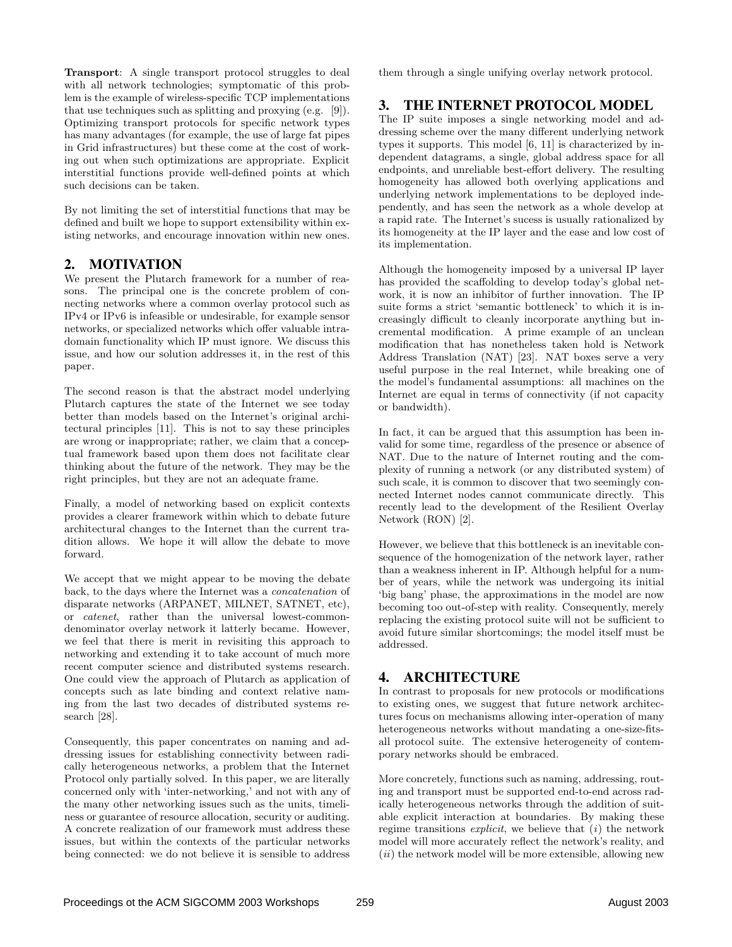Transport: A single transport protocol struggles to deal with all network technologies; symptomatic of this problem is the example of wireless-specific TCP implementations that use techniques such as splitting and proxying (e.g. [9]). Optimizing transport protocols for specific network types has many advantages (for example, the use of large fat pipes in Grid infrastructures) but these come at the cost of working out when such optimizations are appropriate. Explicit interstitial functions provide well-defined points at which such decisions can be taken.

By not limiting the set of interstitial functions that may be defined and built we hope to support extensibility within existing networks, and encourage innovation within new ones.

# **2. MOTIVATION**

We present the Plutarch framework for a number of reasons. The principal one is the concrete problem of connecting networks where a common overlay protocol such as IPv4 or IPv6 is infeasible or undesirable, for example sensor networks, or specialized networks which offer valuable intradomain functionality which IP must ignore. We discuss this issue, and how our solution addresses it, in the rest of this paper.

The second reason is that the abstract model underlying Plutarch captures the state of the Internet we see today better than models based on the Internet's original architectural principles [11]. This is not to say these principles are wrong or inappropriate; rather, we claim that a conceptual framework based upon them does not facilitate clear thinking about the future of the network. They may be the right principles, but they are not an adequate frame.

Finally, a model of networking based on explicit contexts provides a clearer framework within which to debate future architectural changes to the Internet than the current tradition allows. We hope it will allow the debate to move forward.

We accept that we might appear to be moving the debate back, to the days where the Internet was a concatenation of disparate networks (ARPANET, MILNET, SATNET, etc), or catenet, rather than the universal lowest-commondenominator overlay network it latterly became. However, we feel that there is merit in revisiting this approach to networking and extending it to take account of much more recent computer science and distributed systems research. One could view the approach of Plutarch as application of concepts such as late binding and context relative naming from the last two decades of distributed systems research [28].

Consequently, this paper concentrates on naming and addressing issues for establishing connectivity between radically heterogeneous networks, a problem that the Internet Protocol only partially solved. In this paper, we are literally concerned only with 'inter-networking,' and not with any of the many other networking issues such as the units, timeliness or guarantee of resource allocation, security or auditing. A concrete realization of our framework must address these issues, but within the contexts of the particular networks being connected: we do not believe it is sensible to address them through a single unifying overlay network protocol.

## **3. THE INTERNET PROTOCOL MODEL**

The IP suite imposes a single networking model and addressing scheme over the many different underlying network types it supports. This model [6, 11] is characterized by independent datagrams, a single, global address space for all endpoints, and unreliable best-effort delivery. The resulting homogeneity has allowed both overlying applications and underlying network implementations to be deployed independently, and has seen the network as a whole develop at a rapid rate. The Internet's sucess is usually rationalized by its homogeneity at the IP layer and the ease and low cost of its implementation.

Although the homogeneity imposed by a universal IP layer has provided the scaffolding to develop today's global network, it is now an inhibitor of further innovation. The IP suite forms a strict 'semantic bottleneck' to which it is increasingly difficult to cleanly incorporate anything but incremental modification. A prime example of an unclean modification that has nonetheless taken hold is Network Address Translation (NAT) [23]. NAT boxes serve a very useful purpose in the real Internet, while breaking one of the model's fundamental assumptions: all machines on the Internet are equal in terms of connectivity (if not capacity or bandwidth).

In fact, it can be argued that this assumption has been invalid for some time, regardless of the presence or absence of NAT. Due to the nature of Internet routing and the complexity of running a network (or any distributed system) of such scale, it is common to discover that two seemingly connected Internet nodes cannot communicate directly. This recently lead to the development of the Resilient Overlay Network (RON) [2].

However, we believe that this bottleneck is an inevitable consequence of the homogenization of the network layer, rather than a weakness inherent in IP. Although helpful for a number of years, while the network was undergoing its initial 'big bang' phase, the approximations in the model are now becoming too out-of-step with reality. Consequently, merely replacing the existing protocol suite will not be sufficient to avoid future similar shortcomings; the model itself must be addressed.

## **4. ARCHITECTURE**

In contrast to proposals for new protocols or modifications to existing ones, we suggest that future network architectures focus on mechanisms allowing inter-operation of many heterogeneous networks without mandating a one-size-fitsall protocol suite. The extensive heterogeneity of contemporary networks should be embraced.

More concretely, functions such as naming, addressing, routing and transport must be supported end-to-end across radically heterogeneous networks through the addition of suitable explicit interaction at boundaries. By making these regime transitions  $explicit$ , we believe that  $(i)$  the network model will more accurately reflect the network's reality, and  $(ii)$  the network model will be more extensible, allowing new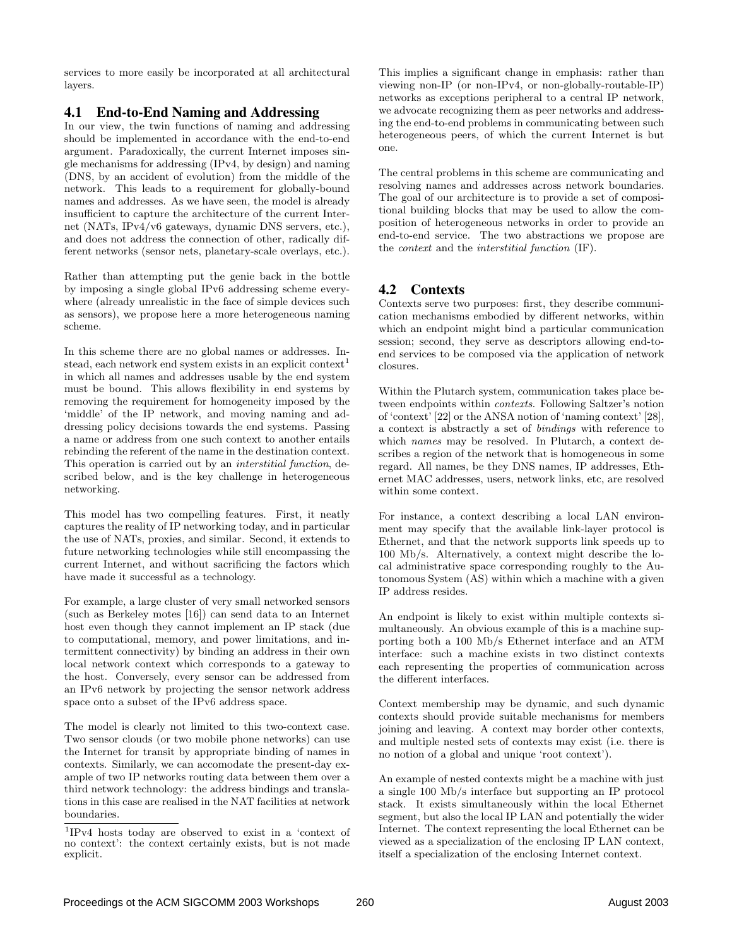services to more easily be incorporated at all architectural layers.

#### **4.1 End-to-End Naming and Addressing**

In our view, the twin functions of naming and addressing should be implemented in accordance with the end-to-end argument. Paradoxically, the current Internet imposes single mechanisms for addressing (IPv4, by design) and naming (DNS, by an accident of evolution) from the middle of the network. This leads to a requirement for globally-bound names and addresses. As we have seen, the model is already insufficient to capture the architecture of the current Internet (NATs, IPv4/v6 gateways, dynamic DNS servers, etc.), and does not address the connection of other, radically different networks (sensor nets, planetary-scale overlays, etc.).

Rather than attempting put the genie back in the bottle by imposing a single global IPv6 addressing scheme everywhere (already unrealistic in the face of simple devices such as sensors), we propose here a more heterogeneous naming scheme.

In this scheme there are no global names or addresses. Instead, each network end system exists in an explicit context<sup>1</sup> in which all names and addresses usable by the end system must be bound. This allows flexibility in end systems by removing the requirement for homogeneity imposed by the 'middle' of the IP network, and moving naming and addressing policy decisions towards the end systems. Passing a name or address from one such context to another entails rebinding the referent of the name in the destination context. This operation is carried out by an interstitial function, described below, and is the key challenge in heterogeneous networking.

This model has two compelling features. First, it neatly captures the reality of IP networking today, and in particular the use of NATs, proxies, and similar. Second, it extends to future networking technologies while still encompassing the current Internet, and without sacrificing the factors which have made it successful as a technology.

For example, a large cluster of very small networked sensors (such as Berkeley motes [16]) can send data to an Internet host even though they cannot implement an IP stack (due to computational, memory, and power limitations, and intermittent connectivity) by binding an address in their own local network context which corresponds to a gateway to the host. Conversely, every sensor can be addressed from an IPv6 network by projecting the sensor network address space onto a subset of the IPv6 address space.

The model is clearly not limited to this two-context case. Two sensor clouds (or two mobile phone networks) can use the Internet for transit by appropriate binding of names in contexts. Similarly, we can accomodate the present-day example of two IP networks routing data between them over a third network technology: the address bindings and translations in this case are realised in the NAT facilities at network boundaries.

This implies a significant change in emphasis: rather than viewing non-IP (or non-IPv4, or non-globally-routable-IP) networks as exceptions peripheral to a central IP network, we advocate recognizing them as peer networks and addressing the end-to-end problems in communicating between such heterogeneous peers, of which the current Internet is but one.

The central problems in this scheme are communicating and resolving names and addresses across network boundaries. The goal of our architecture is to provide a set of compositional building blocks that may be used to allow the composition of heterogeneous networks in order to provide an end-to-end service. The two abstractions we propose are the context and the interstitial function (IF).

# **4.2 Contexts**

Contexts serve two purposes: first, they describe communication mechanisms embodied by different networks, within which an endpoint might bind a particular communication session; second, they serve as descriptors allowing end-toend services to be composed via the application of network closures.

Within the Plutarch system, communication takes place between endpoints within contexts. Following Saltzer's notion of 'context' [22] or the ANSA notion of 'naming context' [28], a context is abstractly a set of bindings with reference to which names may be resolved. In Plutarch, a context describes a region of the network that is homogeneous in some regard. All names, be they DNS names, IP addresses, Ethernet MAC addresses, users, network links, etc, are resolved within some context.

For instance, a context describing a local LAN environment may specify that the available link-layer protocol is Ethernet, and that the network supports link speeds up to 100 Mb/s. Alternatively, a context might describe the local administrative space corresponding roughly to the Autonomous System (AS) within which a machine with a given IP address resides.

An endpoint is likely to exist within multiple contexts simultaneously. An obvious example of this is a machine supporting both a 100 Mb/s Ethernet interface and an ATM interface: such a machine exists in two distinct contexts each representing the properties of communication across the different interfaces.

Context membership may be dynamic, and such dynamic contexts should provide suitable mechanisms for members joining and leaving. A context may border other contexts, and multiple nested sets of contexts may exist (i.e. there is no notion of a global and unique 'root context').

An example of nested contexts might be a machine with just a single 100 Mb/s interface but supporting an IP protocol stack. It exists simultaneously within the local Ethernet segment, but also the local IP LAN and potentially the wider Internet. The context representing the local Ethernet can be viewed as a specialization of the enclosing IP LAN context, itself a specialization of the enclosing Internet context.

<sup>1</sup> IPv4 hosts today are observed to exist in a 'context of no context': the context certainly exists, but is not made explicit.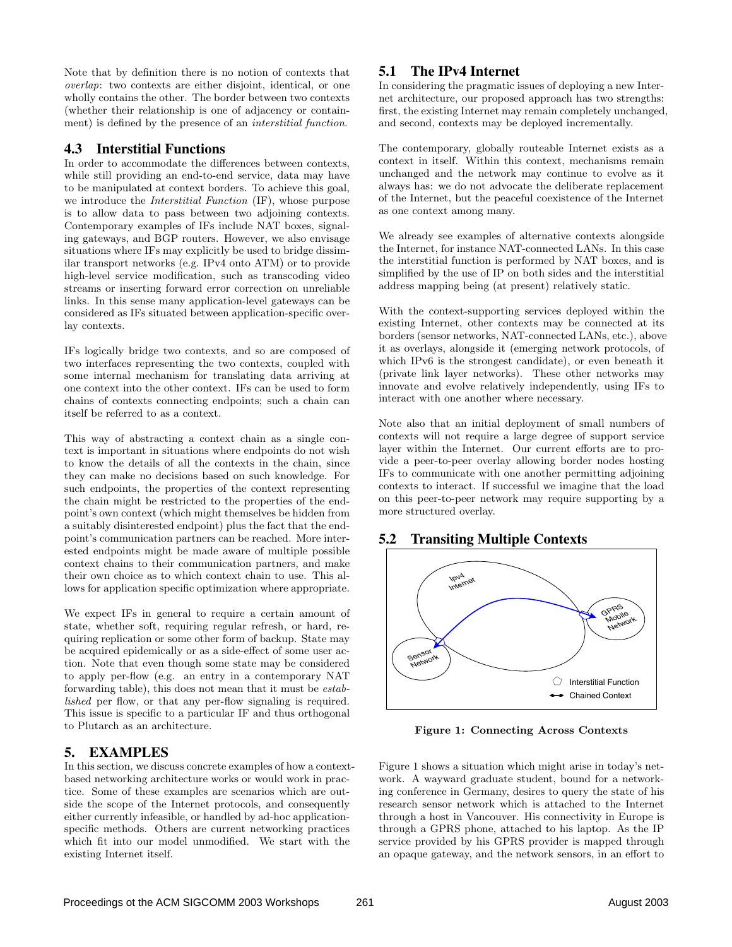Note that by definition there is no notion of contexts that overlap: two contexts are either disjoint, identical, or one wholly contains the other. The border between two contexts (whether their relationship is one of adjacency or containment) is defined by the presence of an *interstitial function*.

#### **4.3 Interstitial Functions**

In order to accommodate the differences between contexts, while still providing an end-to-end service, data may have to be manipulated at context borders. To achieve this goal, we introduce the Interstitial Function (IF), whose purpose is to allow data to pass between two adjoining contexts. Contemporary examples of IFs include NAT boxes, signaling gateways, and BGP routers. However, we also envisage situations where IFs may explicitly be used to bridge dissimilar transport networks (e.g. IPv4 onto ATM) or to provide high-level service modification, such as transcoding video streams or inserting forward error correction on unreliable links. In this sense many application-level gateways can be considered as IFs situated between application-specific overlay contexts.

IFs logically bridge two contexts, and so are composed of two interfaces representing the two contexts, coupled with some internal mechanism for translating data arriving at one context into the other context. IFs can be used to form chains of contexts connecting endpoints; such a chain can itself be referred to as a context.

This way of abstracting a context chain as a single context is important in situations where endpoints do not wish to know the details of all the contexts in the chain, since they can make no decisions based on such knowledge. For such endpoints, the properties of the context representing the chain might be restricted to the properties of the endpoint's own context (which might themselves be hidden from a suitably disinterested endpoint) plus the fact that the endpoint's communication partners can be reached. More interested endpoints might be made aware of multiple possible context chains to their communication partners, and make their own choice as to which context chain to use. This allows for application specific optimization where appropriate.

We expect IFs in general to require a certain amount of state, whether soft, requiring regular refresh, or hard, requiring replication or some other form of backup. State may be acquired epidemically or as a side-effect of some user action. Note that even though some state may be considered to apply per-flow (e.g. an entry in a contemporary NAT forwarding table), this does not mean that it must be established per flow, or that any per-flow signaling is required. This issue is specific to a particular IF and thus orthogonal to Plutarch as an architecture.

## **5. EXAMPLES**

In this section, we discuss concrete examples of how a contextbased networking architecture works or would work in practice. Some of these examples are scenarios which are outside the scope of the Internet protocols, and consequently either currently infeasible, or handled by ad-hoc applicationspecific methods. Others are current networking practices which fit into our model unmodified. We start with the existing Internet itself.

## **5.1 The IPv4 Internet**

In considering the pragmatic issues of deploying a new Internet architecture, our proposed approach has two strengths: first, the existing Internet may remain completely unchanged, and second, contexts may be deployed incrementally.

The contemporary, globally routeable Internet exists as a context in itself. Within this context, mechanisms remain unchanged and the network may continue to evolve as it always has: we do not advocate the deliberate replacement of the Internet, but the peaceful coexistence of the Internet as one context among many.

We already see examples of alternative contexts alongside the Internet, for instance NAT-connected LANs. In this case the interstitial function is performed by NAT boxes, and is simplified by the use of IP on both sides and the interstitial address mapping being (at present) relatively static.

With the context-supporting services deployed within the existing Internet, other contexts may be connected at its borders (sensor networks, NAT-connected LANs, etc.), above it as overlays, alongside it (emerging network protocols, of which IPv6 is the strongest candidate), or even beneath it (private link layer networks). These other networks may innovate and evolve relatively independently, using IFs to interact with one another where necessary.

Note also that an initial deployment of small numbers of contexts will not require a large degree of support service layer within the Internet. Our current efforts are to provide a peer-to-peer overlay allowing border nodes hosting IFs to communicate with one another permitting adjoining contexts to interact. If successful we imagine that the load on this peer-to-peer network may require supporting by a more structured overlay.

#### **5.2 Transiting Multiple Contexts**



Figure 1: Connecting Across Contexts

Figure 1 shows a situation which might arise in today's network. A wayward graduate student, bound for a networking conference in Germany, desires to query the state of his research sensor network which is attached to the Internet through a host in Vancouver. His connectivity in Europe is through a GPRS phone, attached to his laptop. As the IP service provided by his GPRS provider is mapped through an opaque gateway, and the network sensors, in an effort to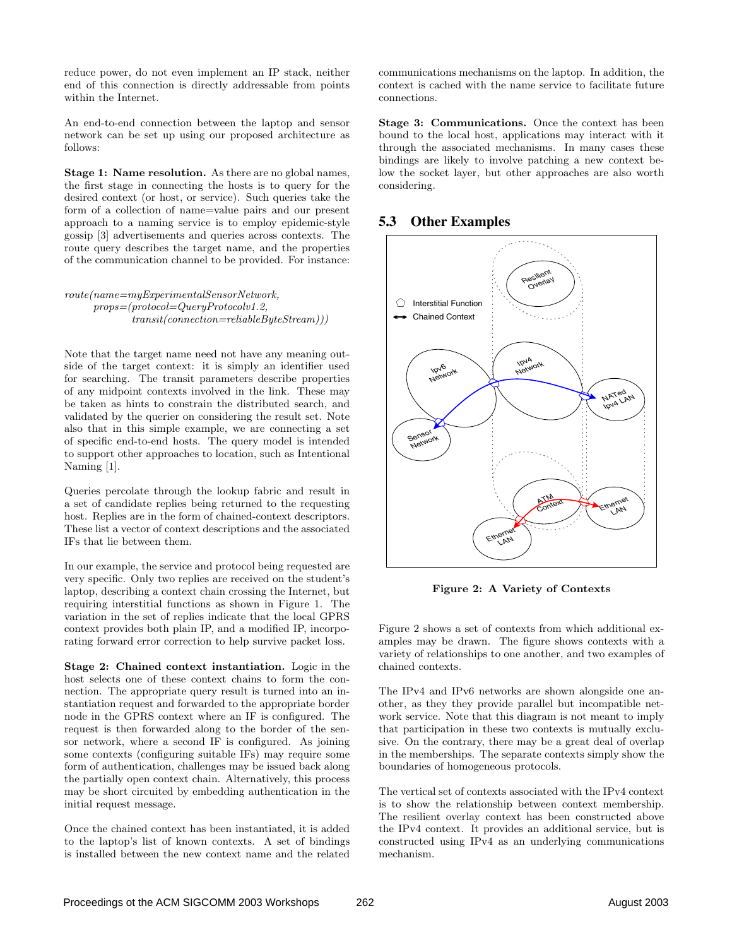reduce power, do not even implement an IP stack, neither end of this connection is directly addressable from points within the Internet.

An end-to-end connection between the laptop and sensor network can be set up using our proposed architecture as follows:

Stage 1: Name resolution. As there are no global names, the first stage in connecting the hosts is to query for the desired context (or host, or service). Such queries take the form of a collection of name=value pairs and our present approach to a naming service is to employ epidemic-style gossip [3] advertisements and queries across contexts. The route query describes the target name, and the properties of the communication channel to be provided. For instance:

route(name=myExperimentalSensorNetwork, props=(protocol=QueryProtocolv1.2, transit(connection=reliableByteStream)))

Note that the target name need not have any meaning outside of the target context: it is simply an identifier used for searching. The transit parameters describe properties of any midpoint contexts involved in the link. These may be taken as hints to constrain the distributed search, and validated by the querier on considering the result set. Note also that in this simple example, we are connecting a set of specific end-to-end hosts. The query model is intended to support other approaches to location, such as Intentional Naming [1].

Queries percolate through the lookup fabric and result in a set of candidate replies being returned to the requesting host. Replies are in the form of chained-context descriptors. These list a vector of context descriptions and the associated IFs that lie between them.

In our example, the service and protocol being requested are very specific. Only two replies are received on the student's laptop, describing a context chain crossing the Internet, but requiring interstitial functions as shown in Figure 1. The variation in the set of replies indicate that the local GPRS context provides both plain IP, and a modified IP, incorporating forward error correction to help survive packet loss.

Stage 2: Chained context instantiation. Logic in the host selects one of these context chains to form the connection. The appropriate query result is turned into an instantiation request and forwarded to the appropriate border node in the GPRS context where an IF is configured. The request is then forwarded along to the border of the sensor network, where a second IF is configured. As joining some contexts (configuring suitable IFs) may require some form of authentication, challenges may be issued back along the partially open context chain. Alternatively, this process may be short circuited by embedding authentication in the initial request message.

Once the chained context has been instantiated, it is added to the laptop's list of known contexts. A set of bindings is installed between the new context name and the related communications mechanisms on the laptop. In addition, the context is cached with the name service to facilitate future connections.

Stage 3: Communications. Once the context has been bound to the local host, applications may interact with it through the associated mechanisms. In many cases these bindings are likely to involve patching a new context below the socket layer, but other approaches are also worth considering.

## **5.3 Other Examples**



Figure 2: A Variety of Contexts

Figure 2 shows a set of contexts from which additional examples may be drawn. The figure shows contexts with a variety of relationships to one another, and two examples of chained contexts.

The IPv4 and IPv6 networks are shown alongside one another, as they they provide parallel but incompatible network service. Note that this diagram is not meant to imply that participation in these two contexts is mutually exclusive. On the contrary, there may be a great deal of overlap in the memberships. The separate contexts simply show the boundaries of homogeneous protocols.

The vertical set of contexts associated with the IPv4 context is to show the relationship between context membership. The resilient overlay context has been constructed above the IPv4 context. It provides an additional service, but is constructed using IPv4 as an underlying communications mechanism.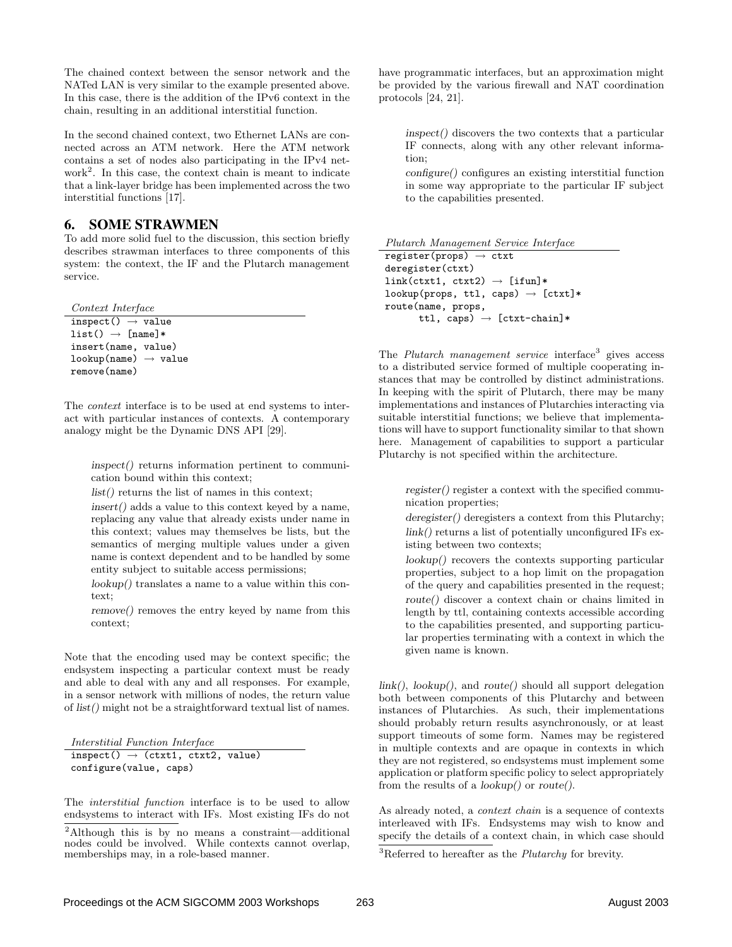The chained context between the sensor network and the NATed LAN is very similar to the example presented above. In this case, there is the addition of the IPv6 context in the chain, resulting in an additional interstitial function.

In the second chained context, two Ethernet LANs are connected across an ATM network. Here the ATM network contains a set of nodes also participating in the IPv4 network<sup>2</sup> . In this case, the context chain is meant to indicate that a link-layer bridge has been implemented across the two interstitial functions [17].

## **6. SOME STRAWMEN**

To add more solid fuel to the discussion, this section briefly describes strawman interfaces to three components of this system: the context, the IF and the Plutarch management service.

Context Interface

```
inspect() \rightarrow valuelist() \rightarrow [name]*insert(name, value)
lookup(name) \rightarrow valueremove(name)
```
The context interface is to be used at end systems to interact with particular instances of contexts. A contemporary analogy might be the Dynamic DNS API [29].

inspect() returns information pertinent to communication bound within this context;

list() returns the list of names in this context;

insert() adds a value to this context keyed by a name, replacing any value that already exists under name in this context; values may themselves be lists, but the semantics of merging multiple values under a given name is context dependent and to be handled by some entity subject to suitable access permissions;

lookup() translates a name to a value within this context;

remove() removes the entry keyed by name from this context;

Note that the encoding used may be context specific; the endsystem inspecting a particular context must be ready and able to deal with any and all responses. For example, in a sensor network with millions of nodes, the return value of list() might not be a straightforward textual list of names.

| Interstitial Function Interface               |
|-----------------------------------------------|
| inspect() $\rightarrow$ (ctxt1, ctxt2, value) |
| configure(value, caps)                        |

The interstitial function interface is to be used to allow endsystems to interact with IFs. Most existing IFs do not have programmatic interfaces, but an approximation might be provided by the various firewall and NAT coordination protocols [24, 21].

inspect() discovers the two contexts that a particular IF connects, along with any other relevant information;

configure() configures an existing interstitial function in some way appropriate to the particular IF subject to the capabilities presented.

```
Plutarch Management Service Interface
register<mark>(props) \rightarrow</math>ctxt</mark>
deregister(ctxt)
link(ctxt1, ctxt2) \rightarrow [ifun]*lookup(props, ttl, caps) \rightarrow [ctxt]*
route(name, props,
        ttl, caps) \rightarrow [ctxt-chain]*
```
The Plutarch management service interface<sup>3</sup> gives access to a distributed service formed of multiple cooperating instances that may be controlled by distinct administrations. In keeping with the spirit of Plutarch, there may be many implementations and instances of Plutarchies interacting via suitable interstitial functions; we believe that implementations will have to support functionality similar to that shown here. Management of capabilities to support a particular Plutarchy is not specified within the architecture.

register() register a context with the specified communication properties;

deregister() deregisters a context from this Plutarchy; link() returns a list of potentially unconfigured IFs existing between two contexts;

lookup() recovers the contexts supporting particular properties, subject to a hop limit on the propagation of the query and capabilities presented in the request; route() discover a context chain or chains limited in length by ttl, containing contexts accessible according to the capabilities presented, and supporting particular properties terminating with a context in which the given name is known.

 $link(), \, lookup(), \, and \, route() \, should all support delegation$ both between components of this Plutarchy and between instances of Plutarchies. As such, their implementations should probably return results asynchronously, or at least support timeouts of some form. Names may be registered in multiple contexts and are opaque in contexts in which they are not registered, so endsystems must implement some application or platform specific policy to select appropriately from the results of a lookup() or route().

As already noted, a *context chain* is a sequence of contexts interleaved with IFs. Endsystems may wish to know and specify the details of a context chain, in which case should

<sup>2</sup>Although this is by no means a constraint—additional nodes could be involved. While contexts cannot overlap, memberships may, in a role-based manner.

 $3$ Referred to hereafter as the *Plutarchy* for brevity.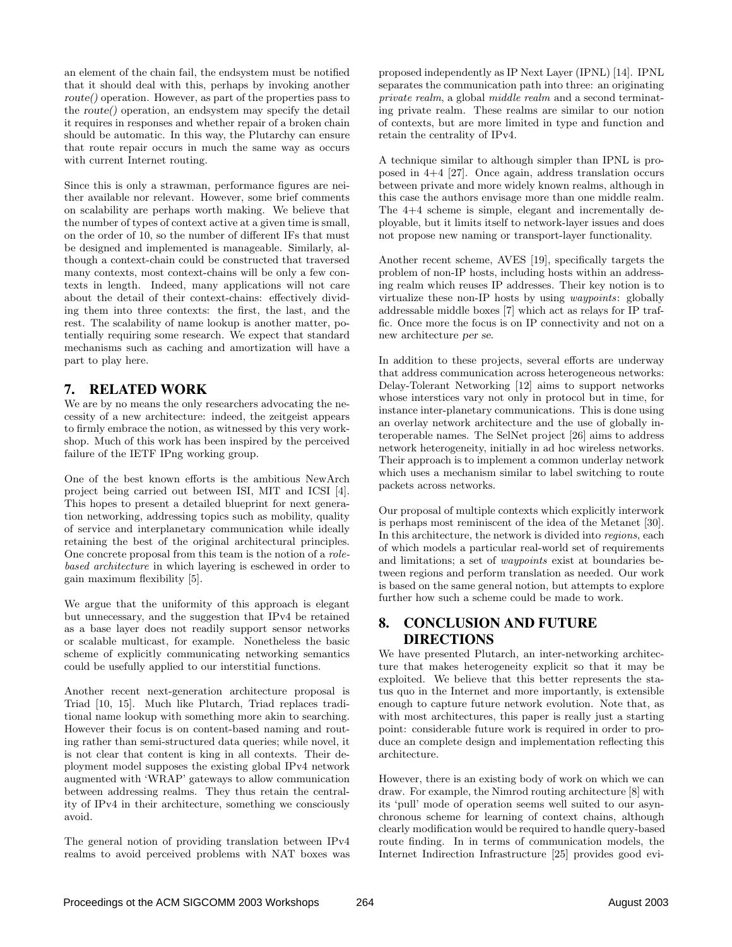an element of the chain fail, the endsystem must be notified that it should deal with this, perhaps by invoking another route() operation. However, as part of the properties pass to the route() operation, an endsystem may specify the detail it requires in responses and whether repair of a broken chain should be automatic. In this way, the Plutarchy can ensure that route repair occurs in much the same way as occurs with current Internet routing.

Since this is only a strawman, performance figures are neither available nor relevant. However, some brief comments on scalability are perhaps worth making. We believe that the number of types of context active at a given time is small, on the order of 10, so the number of different IFs that must be designed and implemented is manageable. Similarly, although a context-chain could be constructed that traversed many contexts, most context-chains will be only a few contexts in length. Indeed, many applications will not care about the detail of their context-chains: effectively dividing them into three contexts: the first, the last, and the rest. The scalability of name lookup is another matter, potentially requiring some research. We expect that standard mechanisms such as caching and amortization will have a part to play here.

### **7. RELATED WORK**

We are by no means the only researchers advocating the necessity of a new architecture: indeed, the zeitgeist appears to firmly embrace the notion, as witnessed by this very workshop. Much of this work has been inspired by the perceived failure of the IETF IPng working group.

One of the best known efforts is the ambitious NewArch project being carried out between ISI, MIT and ICSI [4]. This hopes to present a detailed blueprint for next generation networking, addressing topics such as mobility, quality of service and interplanetary communication while ideally retaining the best of the original architectural principles. One concrete proposal from this team is the notion of a rolebased architecture in which layering is eschewed in order to gain maximum flexibility [5].

We argue that the uniformity of this approach is elegant but unnecessary, and the suggestion that IPv4 be retained as a base layer does not readily support sensor networks or scalable multicast, for example. Nonetheless the basic scheme of explicitly communicating networking semantics could be usefully applied to our interstitial functions.

Another recent next-generation architecture proposal is Triad [10, 15]. Much like Plutarch, Triad replaces traditional name lookup with something more akin to searching. However their focus is on content-based naming and routing rather than semi-structured data queries; while novel, it is not clear that content is king in all contexts. Their deployment model supposes the existing global IPv4 network augmented with 'WRAP' gateways to allow communication between addressing realms. They thus retain the centrality of IPv4 in their architecture, something we consciously avoid.

The general notion of providing translation between IPv4 realms to avoid perceived problems with NAT boxes was proposed independently as IP Next Layer (IPNL) [14]. IPNL separates the communication path into three: an originating private realm, a global middle realm and a second terminating private realm. These realms are similar to our notion of contexts, but are more limited in type and function and retain the centrality of IPv4.

A technique similar to although simpler than IPNL is proposed in 4+4 [27]. Once again, address translation occurs between private and more widely known realms, although in this case the authors envisage more than one middle realm. The 4+4 scheme is simple, elegant and incrementally deployable, but it limits itself to network-layer issues and does not propose new naming or transport-layer functionality.

Another recent scheme, AVES [19], specifically targets the problem of non-IP hosts, including hosts within an addressing realm which reuses IP addresses. Their key notion is to virtualize these non-IP hosts by using waypoints: globally addressable middle boxes [7] which act as relays for IP traffic. Once more the focus is on IP connectivity and not on a new architecture per se.

In addition to these projects, several efforts are underway that address communication across heterogeneous networks: Delay-Tolerant Networking [12] aims to support networks whose interstices vary not only in protocol but in time, for instance inter-planetary communications. This is done using an overlay network architecture and the use of globally interoperable names. The SelNet project [26] aims to address network heterogeneity, initially in ad hoc wireless networks. Their approach is to implement a common underlay network which uses a mechanism similar to label switching to route packets across networks.

Our proposal of multiple contexts which explicitly interwork is perhaps most reminiscent of the idea of the Metanet [30]. In this architecture, the network is divided into regions, each of which models a particular real-world set of requirements and limitations; a set of waypoints exist at boundaries between regions and perform translation as needed. Our work is based on the same general notion, but attempts to explore further how such a scheme could be made to work.

# **8. CONCLUSION AND FUTURE DIRECTIONS**

We have presented Plutarch, an inter-networking architecture that makes heterogeneity explicit so that it may be exploited. We believe that this better represents the status quo in the Internet and more importantly, is extensible enough to capture future network evolution. Note that, as with most architectures, this paper is really just a starting point: considerable future work is required in order to produce an complete design and implementation reflecting this architecture.

However, there is an existing body of work on which we can draw. For example, the Nimrod routing architecture [8] with its 'pull' mode of operation seems well suited to our asynchronous scheme for learning of context chains, although clearly modification would be required to handle query-based route finding. In in terms of communication models, the Internet Indirection Infrastructure [25] provides good evi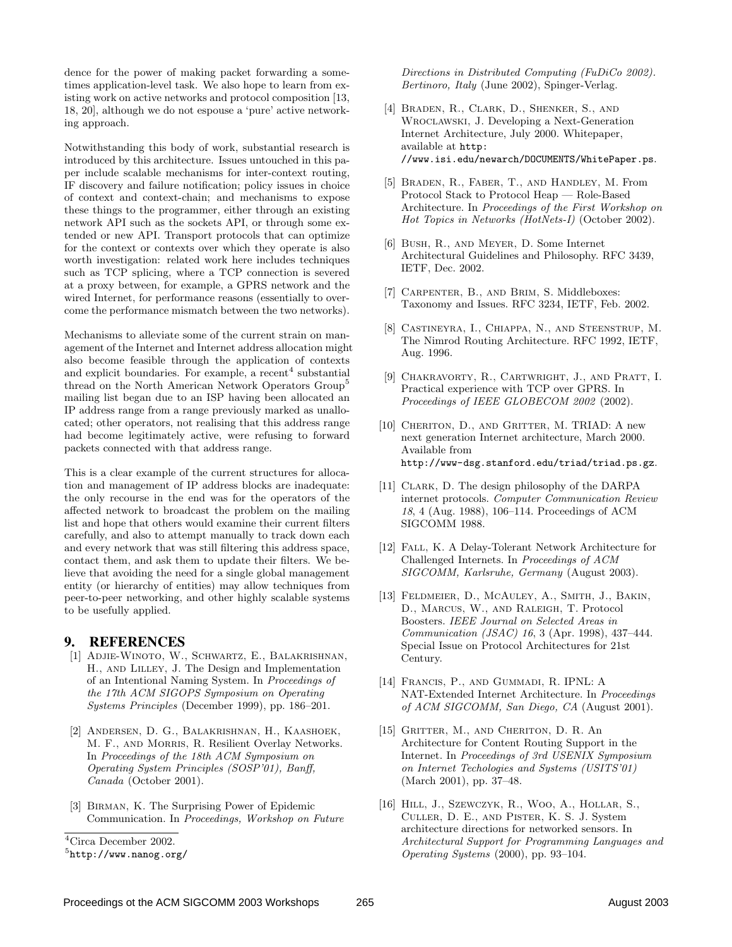dence for the power of making packet forwarding a sometimes application-level task. We also hope to learn from existing work on active networks and protocol composition [13, 18, 20], although we do not espouse a 'pure' active networking approach.

Notwithstanding this body of work, substantial research is introduced by this architecture. Issues untouched in this paper include scalable mechanisms for inter-context routing, IF discovery and failure notification; policy issues in choice of context and context-chain; and mechanisms to expose these things to the programmer, either through an existing network API such as the sockets API, or through some extended or new API. Transport protocols that can optimize for the context or contexts over which they operate is also worth investigation: related work here includes techniques such as TCP splicing, where a TCP connection is severed at a proxy between, for example, a GPRS network and the wired Internet, for performance reasons (essentially to overcome the performance mismatch between the two networks).

Mechanisms to alleviate some of the current strain on management of the Internet and Internet address allocation might also become feasible through the application of contexts and explicit boundaries. For example, a recent<sup>4</sup> substantial thread on the North American Network Operators Group<sup>5</sup> mailing list began due to an ISP having been allocated an IP address range from a range previously marked as unallocated; other operators, not realising that this address range had become legitimately active, were refusing to forward packets connected with that address range.

This is a clear example of the current structures for allocation and management of IP address blocks are inadequate: the only recourse in the end was for the operators of the affected network to broadcast the problem on the mailing list and hope that others would examine their current filters carefully, and also to attempt manually to track down each and every network that was still filtering this address space, contact them, and ask them to update their filters. We believe that avoiding the need for a single global management entity (or hierarchy of entities) may allow techniques from peer-to-peer networking, and other highly scalable systems to be usefully applied.

#### **9. REFERENCES**

- [1] Adjie-Winoto, W., Schwartz, E., Balakrishnan, H., and Lilley, J. The Design and Implementation of an Intentional Naming System. In Proceedings of the 17th ACM SIGOPS Symposium on Operating Systems Principles (December 1999), pp. 186–201.
- [2] Andersen, D. G., Balakrishnan, H., Kaashoek, M. F., and Morris, R. Resilient Overlay Networks. In Proceedings of the 18th ACM Symposium on Operating System Principles (SOSP'01), Banff, Canada (October 2001).
- [3] Birman, K. The Surprising Power of Epidemic Communication. In Proceedings, Workshop on Future

Directions in Distributed Computing (FuDiCo 2002). Bertinoro, Italy (June 2002), Spinger-Verlag.

- [4] Braden, R., Clark, D., Shenker, S., and Wroclawski, J. Developing a Next-Generation Internet Architecture, July 2000. Whitepaper, available at http: //www.isi.edu/newarch/DOCUMENTS/WhitePaper.ps.
- [5] Braden, R., Faber, T., and Handley, M. From Protocol Stack to Protocol Heap — Role-Based Architecture. In Proceedings of the First Workshop on Hot Topics in Networks (HotNets-I) (October 2002).
- [6] Bush, R., and Meyer, D. Some Internet Architectural Guidelines and Philosophy. RFC 3439, IETF, Dec. 2002.
- [7] Carpenter, B., and Brim, S. Middleboxes: Taxonomy and Issues. RFC 3234, IETF, Feb. 2002.
- [8] Castineyra, I., Chiappa, N., and Steenstrup, M. The Nimrod Routing Architecture. RFC 1992, IETF, Aug. 1996.
- [9] CHAKRAVORTY, R., CARTWRIGHT, J., AND PRATT, I. Practical experience with TCP over GPRS. In Proceedings of IEEE GLOBECOM 2002 (2002).
- [10] CHERITON, D., AND GRITTER, M. TRIAD: A new next generation Internet architecture, March 2000. Available from http://www-dsg.stanford.edu/triad/triad.ps.gz.
- [11] CLARK, D. The design philosophy of the DARPA internet protocols. Computer Communication Review 18, 4 (Aug. 1988), 106–114. Proceedings of ACM SIGCOMM 1988.
- [12] FALL, K. A Delay-Tolerant Network Architecture for Challenged Internets. In Proceedings of ACM SIGCOMM, Karlsruhe, Germany (August 2003).
- [13] Feldmeier, D., McAuley, A., Smith, J., Bakin, D., Marcus, W., and Raleigh, T. Protocol Boosters. IEEE Journal on Selected Areas in Communication (JSAC) 16, 3 (Apr. 1998), 437–444. Special Issue on Protocol Architectures for 21st Century.
- [14] Francis, P., and Gummadi, R. IPNL: A NAT-Extended Internet Architecture. In Proceedings of ACM SIGCOMM, San Diego, CA (August 2001).
- [15] GRITTER, M., AND CHERITON, D. R. An Architecture for Content Routing Support in the Internet. In Proceedings of 3rd USENIX Symposium on Internet Techologies and Systems (USITS'01) (March 2001), pp. 37–48.
- [16] Hill, J., Szewczyk, R., Woo, A., Hollar, S., Culler, D. E., and Pister, K. S. J. System architecture directions for networked sensors. In Architectural Support for Programming Languages and Operating Systems (2000), pp. 93–104.

<sup>4</sup>Circa December 2002.

<sup>5</sup> http://www.nanog.org/